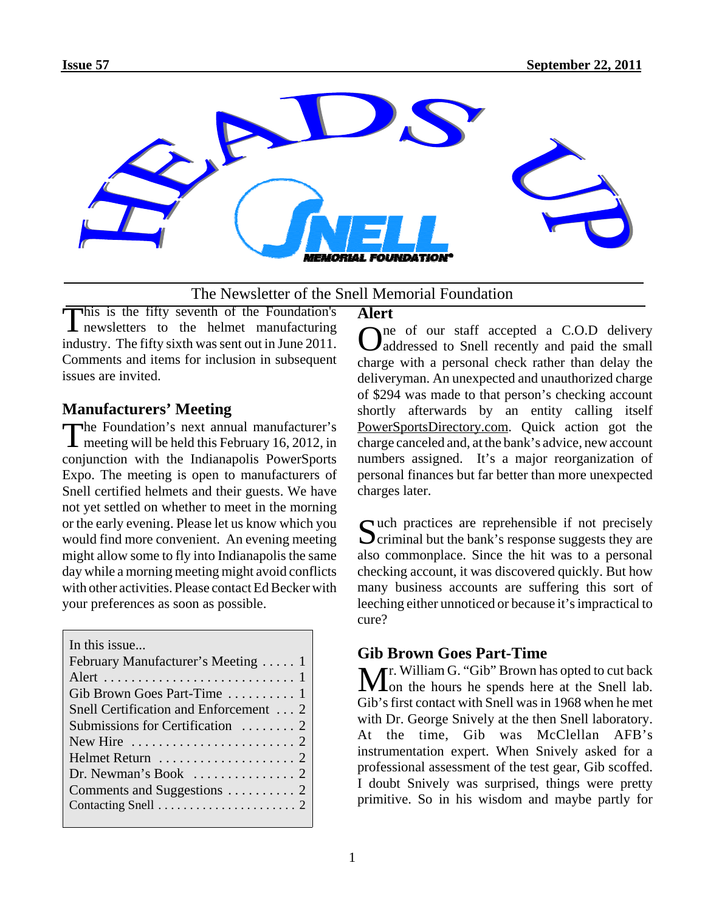

#### The Newsletter of the Snell Memorial Foundation

This is the fifty seventh of the Foundation's newsletters to the helmet manufacturing industry. The fifty sixth was sent out in June 2011. Comments and items for inclusion in subsequent issues are invited.

#### **Manufacturers' Meeting**

The Foundation's next annual manufacturer's<br>meeting will be held this February 16, 2012, in conjunction with the Indianapolis PowerSports Expo. The meeting is open to manufacturers of Snell certified helmets and their guests. We have not yet settled on whether to meet in the morning or the early evening. Please let us know which you would find more convenient. An evening meeting might allow some to fly into Indianapolis the same day while a morning meeting might avoid conflicts with other activities. Please contact Ed Becker with your preferences as soon as possible.

| In this issue                                          |
|--------------------------------------------------------|
| February Manufacturer's Meeting  1                     |
|                                                        |
|                                                        |
| Gib Brown Goes Part-Time  1                            |
| Snell Certification and Enforcement  2                 |
| Submissions for Certification $\ldots \ldots$ 2        |
| New Hire $\ldots \ldots \ldots \ldots \ldots \ldots 2$ |
|                                                        |
|                                                        |
|                                                        |
|                                                        |
|                                                        |

# **Alert**

 $\sum_{\text{addressed}}$  is  $\sum_{n=1}^{\infty}$  of our staff accepted a C.O.D delivery addressed to Snell recently and paid the small charge with a personal check rather than delay the deliveryman. An unexpected and unauthorized charge of \$294 was made to that person's checking account shortly afterwards by an entity calling itself PowerSportsDirectory.com. Quick action got the charge canceled and, at the bank's advice, new account numbers assigned. It's a major reorganization of personal finances but far better than more unexpected charges later.

Such practices are reprehensible if not precisely<br>Criminal but the bank's response suggests they are also commonplace. Since the hit was to a personal checking account, it was discovered quickly. But how many business accounts are suffering this sort of leeching either unnoticed or because it's impractical to cure?

### **Gib Brown Goes Part-Time**

 $\mathbf{M}$ r. William G. "Gib" Brown has opted to cut back on the hours he spends here at the Snell lab. Gib's first contact with Snell was in 1968 when he met with Dr. George Snively at the then Snell laboratory. At the time, Gib was McClellan AFB's instrumentation expert. When Snively asked for a professional assessment of the test gear, Gib scoffed. I doubt Snively was surprised, things were pretty primitive. So in his wisdom and maybe partly for